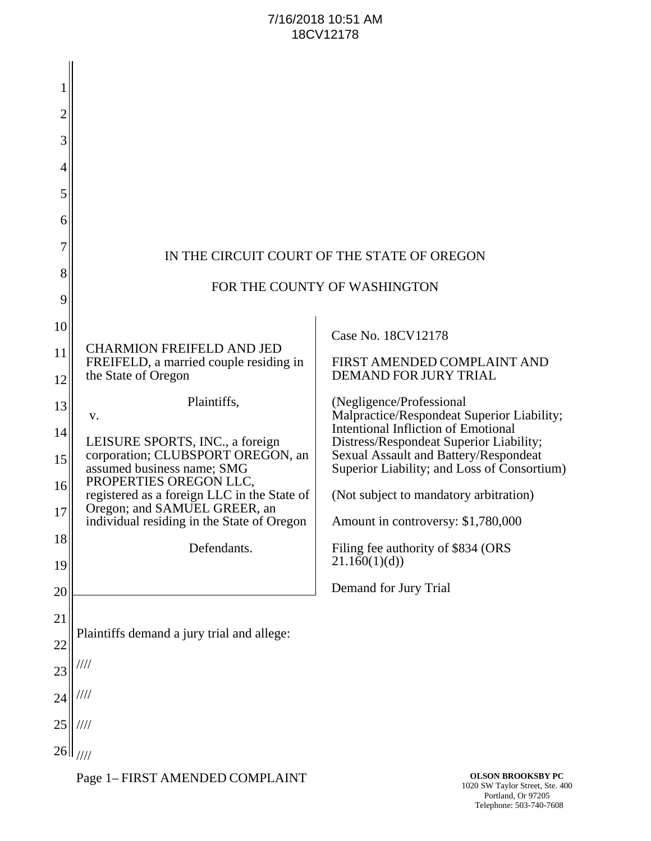## 7/16/2018 10:51 AM 18CV12178

| 2  |                                                                            |                                                                                       |
|----|----------------------------------------------------------------------------|---------------------------------------------------------------------------------------|
| 3  |                                                                            |                                                                                       |
| 4  |                                                                            |                                                                                       |
| 5  |                                                                            |                                                                                       |
| 6  |                                                                            |                                                                                       |
|    |                                                                            | IN THE CIRCUIT COURT OF THE STATE OF OREGON                                           |
| 8  |                                                                            |                                                                                       |
| 9  |                                                                            | FOR THE COUNTY OF WASHINGTON                                                          |
| 10 |                                                                            | Case No. 18CV12178                                                                    |
| 11 | <b>CHARMION FREIFELD AND JED</b><br>FREIFELD, a married couple residing in | FIRST AMENDED COMPLAINT AND                                                           |
| 12 | the State of Oregon                                                        | DEMAND FOR JURY TRIAL                                                                 |
| 13 | Plaintiffs,<br>v.                                                          | (Negligence/Professional<br>Malpractice/Respondeat Superior Liability;                |
| 14 | LEISURE SPORTS, INC., a foreign                                            | <b>Intentional Infliction of Emotional</b><br>Distress/Respondeat Superior Liability; |
| 15 | corporation; CLUBSPORT OREGON, an<br>assumed business name; SMG            | Sexual Assault and Battery/Respondeat<br>Superior Liability; and Loss of Consortium)  |
| 16 | PROPERTIES OREGON LLC,<br>registered as a foreign LLC in the State of      | (Not subject to mandatory arbitration)                                                |
| 17 | Oregon; and SAMUEL GREER, an<br>individual residing in the State of Oregon | Amount in controversy: \$1,780,000                                                    |
| 18 | Defendants.                                                                | Filing fee authority of \$834 (ORS                                                    |
| 19 |                                                                            | 21.160(1)(d)                                                                          |
| 20 |                                                                            | Demand for Jury Trial                                                                 |
| 21 |                                                                            |                                                                                       |
| 22 | Plaintiffs demand a jury trial and allege:                                 |                                                                                       |
| 23 | '///                                                                       |                                                                                       |
| 24 | ////                                                                       |                                                                                       |
| 25 | ////                                                                       |                                                                                       |
| 26 | 1111                                                                       |                                                                                       |

Page 1– FIRST AMENDED COMPLAINT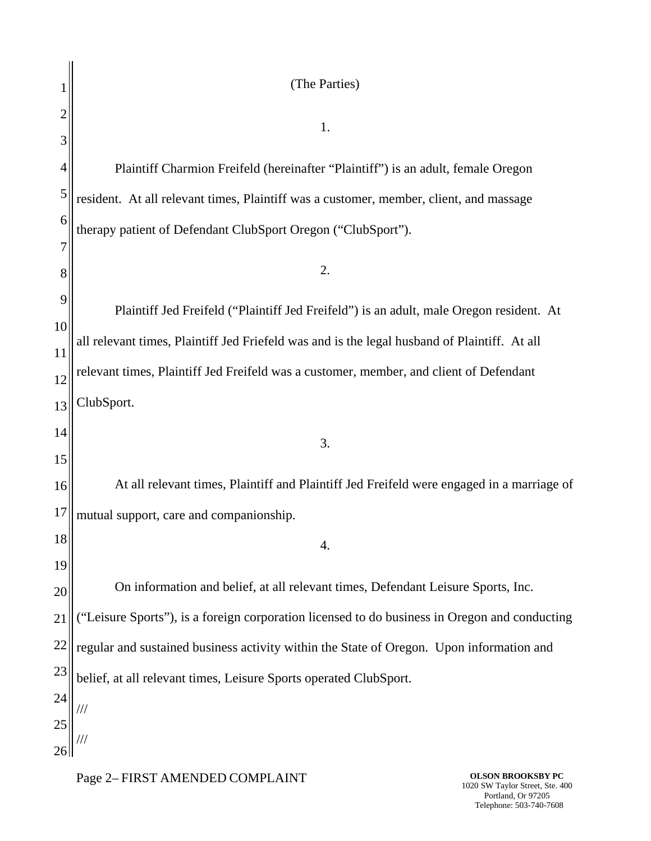|    | (The Parties)                                                                                |  |
|----|----------------------------------------------------------------------------------------------|--|
|    |                                                                                              |  |
| 3  | 1.                                                                                           |  |
| 4  | Plaintiff Charmion Freifeld (hereinafter "Plaintiff") is an adult, female Oregon             |  |
| 5  | resident. At all relevant times, Plaintiff was a customer, member, client, and massage       |  |
| 6  | therapy patient of Defendant ClubSport Oregon ("ClubSport").                                 |  |
|    |                                                                                              |  |
| 8  | 2.                                                                                           |  |
| 9  | Plaintiff Jed Freifeld ("Plaintiff Jed Freifeld") is an adult, male Oregon resident. At      |  |
| 10 |                                                                                              |  |
| 11 | all relevant times, Plaintiff Jed Friefeld was and is the legal husband of Plaintiff. At all |  |
| 12 | relevant times, Plaintiff Jed Freifeld was a customer, member, and client of Defendant       |  |
| 13 | ClubSport.                                                                                   |  |
| 14 | 3.                                                                                           |  |
| 15 |                                                                                              |  |
| 16 | At all relevant times, Plaintiff and Plaintiff Jed Freifeld were engaged in a marriage of    |  |
| 17 | mutual support, care and companionship.                                                      |  |
| 18 | 4.                                                                                           |  |
| 19 |                                                                                              |  |
| 20 | On information and belief, at all relevant times, Defendant Leisure Sports, Inc.             |  |
| 21 | "Leisure Sports"), is a foreign corporation licensed to do business in Oregon and conducting |  |
| 22 | regular and sustained business activity within the State of Oregon. Upon information and     |  |
| 23 | belief, at all relevant times, Leisure Sports operated ClubSport.                            |  |
| 24 |                                                                                              |  |
| 25 |                                                                                              |  |
| 26 |                                                                                              |  |

Page 2– FIRST AMENDED COMPLAINT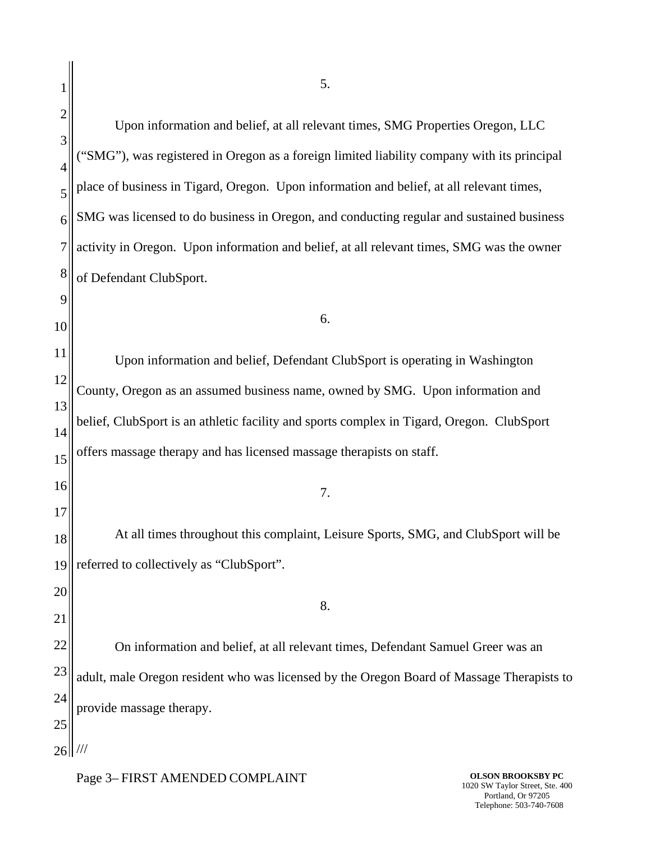25  $26$ || /// Upon information and belief, at all relevant times, SMG Properties Oregon, LLC ("SMG"), was registered in Oregon as a foreign limited liability company with its principal place of business in Tigard, Oregon. Upon information and belief, at all relevant times, SMG was licensed to do business in Oregon, and conducting regular and sustained business activity in Oregon. Upon information and belief, at all relevant times, SMG was the owner of Defendant ClubSport. 6. Upon information and belief, Defendant ClubSport is operating in Washington County, Oregon as an assumed business name, owned by SMG. Upon information and belief, ClubSport is an athletic facility and sports complex in Tigard, Oregon. ClubSport offers massage therapy and has licensed massage therapists on staff. 7. At all times throughout this complaint, Leisure Sports, SMG, and ClubSport will be referred to collectively as "ClubSport". 8. On information and belief, at all relevant times, Defendant Samuel Greer was an adult, male Oregon resident who was licensed by the Oregon Board of Massage Therapists to provide massage therapy.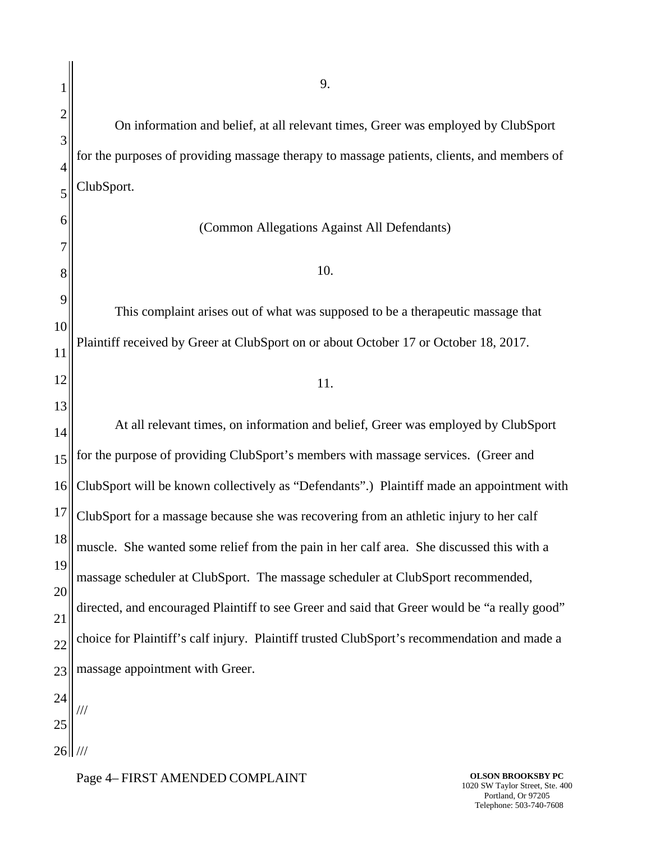2 3 4 5 6 7 8 9 10 11 12 13 14 15 16 17 18 19 20 21 22 23 24 25 26 ///On information and belief, at all relevant times, Greer was employed by ClubSport for the purposes of providing massage therapy to massage patients, clients, and members of ClubSport. (Common Allegations Against All Defendants) 10. This complaint arises out of what was supposed to be a therapeutic massage that Plaintiff received by Greer at ClubSport on or about October 17 or October 18, 2017. 11. At all relevant times, on information and belief, Greer was employed by ClubSport for the purpose of providing ClubSport's members with massage services. (Greer and ClubSport will be known collectively as "Defendants".) Plaintiff made an appointment with ClubSport for a massage because she was recovering from an athletic injury to her calf muscle. She wanted some relief from the pain in her calf area. She discussed this with a massage scheduler at ClubSport. The massage scheduler at ClubSport recommended, directed, and encouraged Plaintiff to see Greer and said that Greer would be "a really good" choice for Plaintiff's calf injury. Plaintiff trusted ClubSport's recommendation and made a massage appointment with Greer. ///

1

## **OLSON BROOKSBY PC** 1020 SW Taylor Street, Ste. 400 Portland, Or 97205 Telephone: 503-740-7608

Page 4– FIRST AMENDED COMPLAINT

9.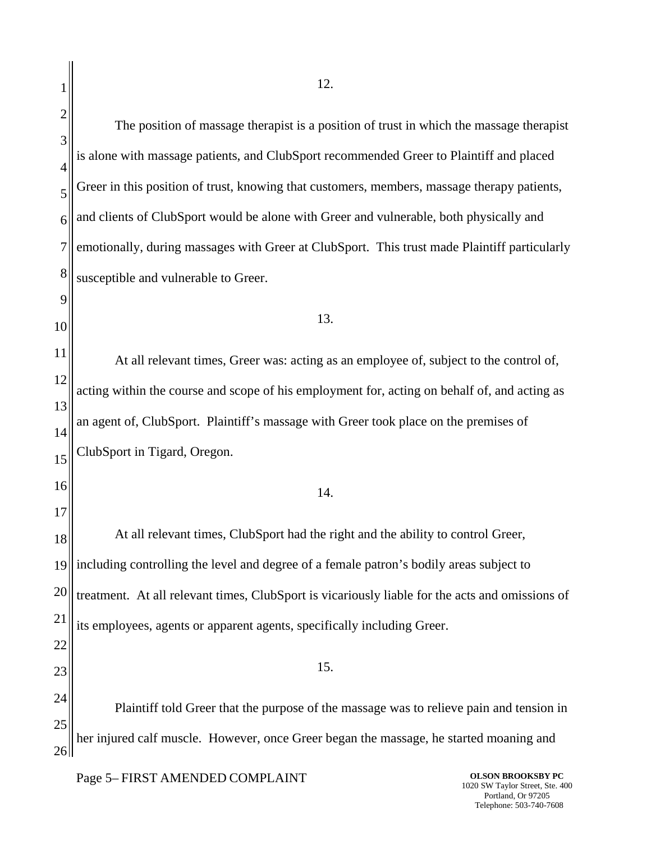24 25 26 The position of massage therapist is a position of trust in which the massage therapist is alone with massage patients, and ClubSport recommended Greer to Plaintiff and placed Greer in this position of trust, knowing that customers, members, massage therapy patients, and clients of ClubSport would be alone with Greer and vulnerable, both physically and emotionally, during massages with Greer at ClubSport. This trust made Plaintiff particularly susceptible and vulnerable to Greer. 13. At all relevant times, Greer was: acting as an employee of, subject to the control of, acting within the course and scope of his employment for, acting on behalf of, and acting as an agent of, ClubSport. Plaintiff's massage with Greer took place on the premises of ClubSport in Tigard, Oregon. 14. At all relevant times, ClubSport had the right and the ability to control Greer, including controlling the level and degree of a female patron's bodily areas subject to treatment. At all relevant times, ClubSport is vicariously liable for the acts and omissions of its employees, agents or apparent agents, specifically including Greer. 15. Plaintiff told Greer that the purpose of the massage was to relieve pain and tension in her injured calf muscle. However, once Greer began the massage, he started moaning and

Page 5– FIRST AMENDED COMPLAINT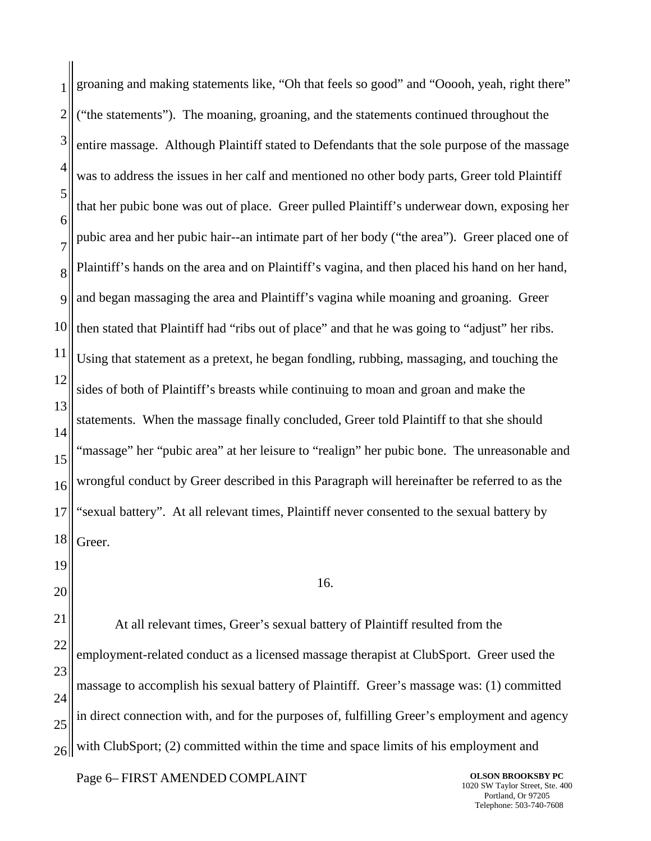1 2 3 4 5 6 7 8 9 10 11 12 13 14 15 16 17 18 19 20 groaning and making statements like, "Oh that feels so good" and "Ooooh, yeah, right there" ("the statements"). The moaning, groaning, and the statements continued throughout the entire massage. Although Plaintiff stated to Defendants that the sole purpose of the massage was to address the issues in her calf and mentioned no other body parts, Greer told Plaintiff that her pubic bone was out of place. Greer pulled Plaintiff's underwear down, exposing her pubic area and her pubic hair--an intimate part of her body ("the area"). Greer placed one of Plaintiff's hands on the area and on Plaintiff's vagina, and then placed his hand on her hand, and began massaging the area and Plaintiff's vagina while moaning and groaning. Greer then stated that Plaintiff had "ribs out of place" and that he was going to "adjust" her ribs. Using that statement as a pretext, he began fondling, rubbing, massaging, and touching the sides of both of Plaintiff's breasts while continuing to moan and groan and make the statements. When the massage finally concluded, Greer told Plaintiff to that she should 'massage" her "pubic area" at her leisure to "realign" her pubic bone. The unreasonable and wrongful conduct by Greer described in this Paragraph will hereinafter be referred to as the "sexual battery". At all relevant times, Plaintiff never consented to the sexual battery by Greer. 16.

21 22 23 24 25 26 At all relevant times, Greer's sexual battery of Plaintiff resulted from the employment-related conduct as a licensed massage therapist at ClubSport. Greer used the massage to accomplish his sexual battery of Plaintiff. Greer's massage was: (1) committed in direct connection with, and for the purposes of, fulfilling Greer's employment and agency with ClubSport; (2) committed within the time and space limits of his employment and

Page 6– FIRST AMENDED COMPLAINT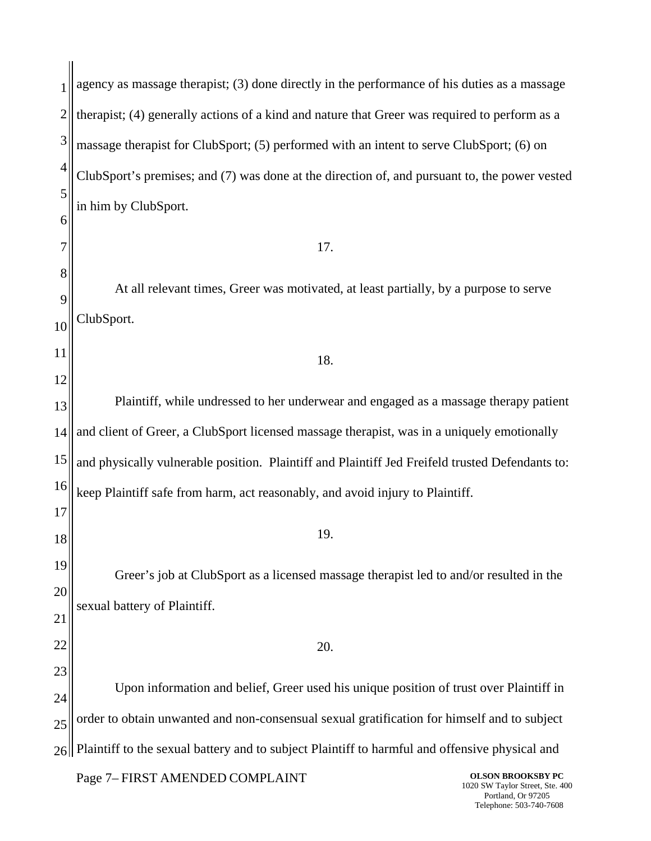1 2 3 4 5 6 7 8 9 10 11 12 13 14 15 16 17 18 19 20 21 22 23 24 25  $26$ agency as massage therapist; (3) done directly in the performance of his duties as a massage therapist; (4) generally actions of a kind and nature that Greer was required to perform as a massage therapist for ClubSport; (5) performed with an intent to serve ClubSport; (6) on ClubSport's premises; and (7) was done at the direction of, and pursuant to, the power vested in him by ClubSport. 17. At all relevant times, Greer was motivated, at least partially, by a purpose to serve ClubSport. 18. Plaintiff, while undressed to her underwear and engaged as a massage therapy patient and client of Greer, a ClubSport licensed massage therapist, was in a uniquely emotionally and physically vulnerable position. Plaintiff and Plaintiff Jed Freifeld trusted Defendants to: keep Plaintiff safe from harm, act reasonably, and avoid injury to Plaintiff. 19. Greer's job at ClubSport as a licensed massage therapist led to and/or resulted in the sexual battery of Plaintiff. 20. Upon information and belief, Greer used his unique position of trust over Plaintiff in order to obtain unwanted and non-consensual sexual gratification for himself and to subject Plaintiff to the sexual battery and to subject Plaintiff to harmful and offensive physical and

Page 7– FIRST AMENDED COMPLAINT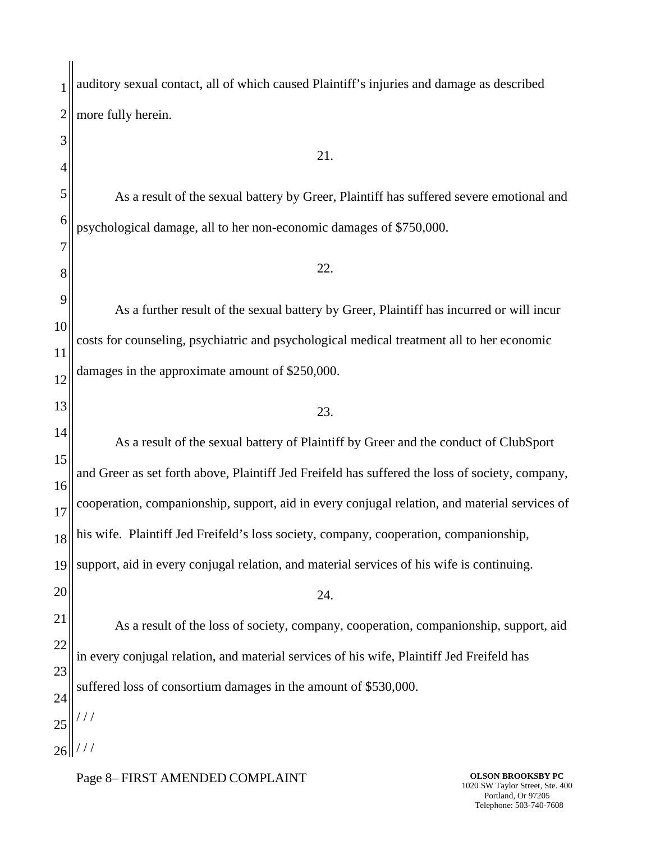1 2 3 4 5 6 7 8 9 10 11 12 13 14 15 16 17 18 19 20 21 22 23 24 25  $26$ auditory sexual contact, all of which caused Plaintiff's injuries and damage as described more fully herein. 21. As a result of the sexual battery by Greer, Plaintiff has suffered severe emotional and psychological damage, all to her non-economic damages of \$750,000. 22. As a further result of the sexual battery by Greer, Plaintiff has incurred or will incur costs for counseling, psychiatric and psychological medical treatment all to her economic damages in the approximate amount of \$250,000. 23. As a result of the sexual battery of Plaintiff by Greer and the conduct of ClubSport and Greer as set forth above, Plaintiff Jed Freifeld has suffered the loss of society, company, cooperation, companionship, support, aid in every conjugal relation, and material services of his wife. Plaintiff Jed Freifeld's loss society, company, cooperation, companionship, support, aid in every conjugal relation, and material services of his wife is continuing. 24. As a result of the loss of society, company, cooperation, companionship, support, aid in every conjugal relation, and material services of his wife, Plaintiff Jed Freifeld has suffered loss of consortium damages in the amount of \$530,000. / / / / / /

Page 8– FIRST AMENDED COMPLAINT

**OLSON BROOKSBY PC** 1020 SW Taylor Street, Ste. 400 Portland, Or 97205 Telephone: 503-740-7608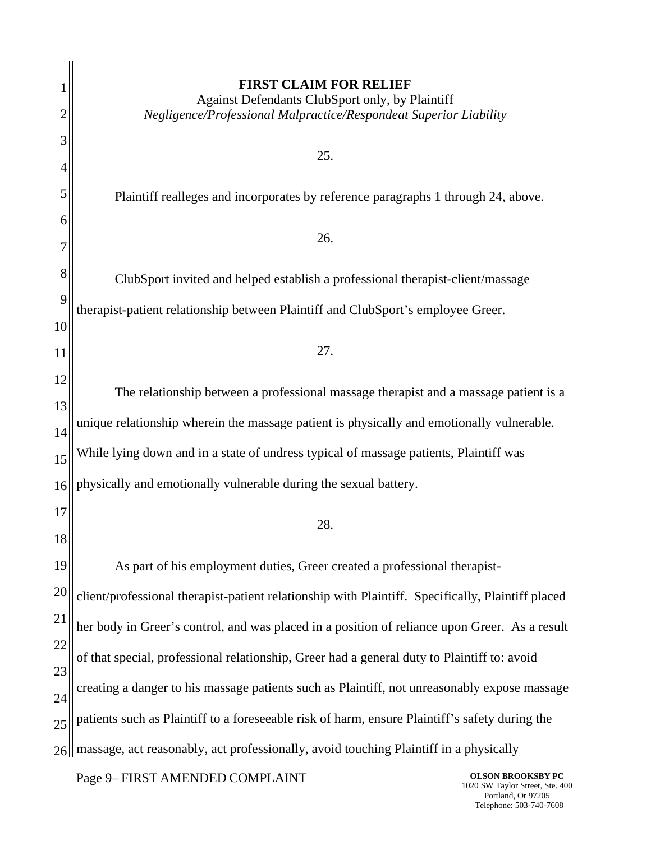|    | <b>FIRST CLAIM FOR RELIEF</b>                                                                     |
|----|---------------------------------------------------------------------------------------------------|
|    | Against Defendants ClubSport only, by Plaintiff                                                   |
| 2  | Negligence/Professional Malpractice/Respondeat Superior Liability                                 |
| 3  | 25.                                                                                               |
| 4  |                                                                                                   |
| 5  | Plaintiff realleges and incorporates by reference paragraphs 1 through 24, above.                 |
| 6  |                                                                                                   |
|    | 26.                                                                                               |
| 8  | ClubSport invited and helped establish a professional therapist-client/massage                    |
| 9  | therapist-patient relationship between Plaintiff and ClubSport's employee Greer.                  |
| 10 |                                                                                                   |
| 11 | 27.                                                                                               |
| 12 | The relationship between a professional massage therapist and a massage patient is a              |
| 13 |                                                                                                   |
| 14 | unique relationship wherein the massage patient is physically and emotionally vulnerable.         |
| 15 | While lying down and in a state of undress typical of massage patients, Plaintiff was             |
| 16 | physically and emotionally vulnerable during the sexual battery.                                  |
| 17 |                                                                                                   |
| 18 | 28.                                                                                               |
| 19 | As part of his employment duties, Greer created a professional therapist-                         |
| 20 | client/professional therapist-patient relationship with Plaintiff. Specifically, Plaintiff placed |
| 21 | her body in Greer's control, and was placed in a position of reliance upon Greer. As a result     |
| 22 | of that special, professional relationship, Greer had a general duty to Plaintiff to: avoid       |
| 23 |                                                                                                   |
| 24 | creating a danger to his massage patients such as Plaintiff, not unreasonably expose massage      |
| 25 | patients such as Plaintiff to a foreseeable risk of harm, ensure Plaintiff's safety during the    |
|    | massage, act reasonably, act professionally, avoid touching Plaintiff in a physically             |

Page 9– FIRST AMENDED COMPLAINT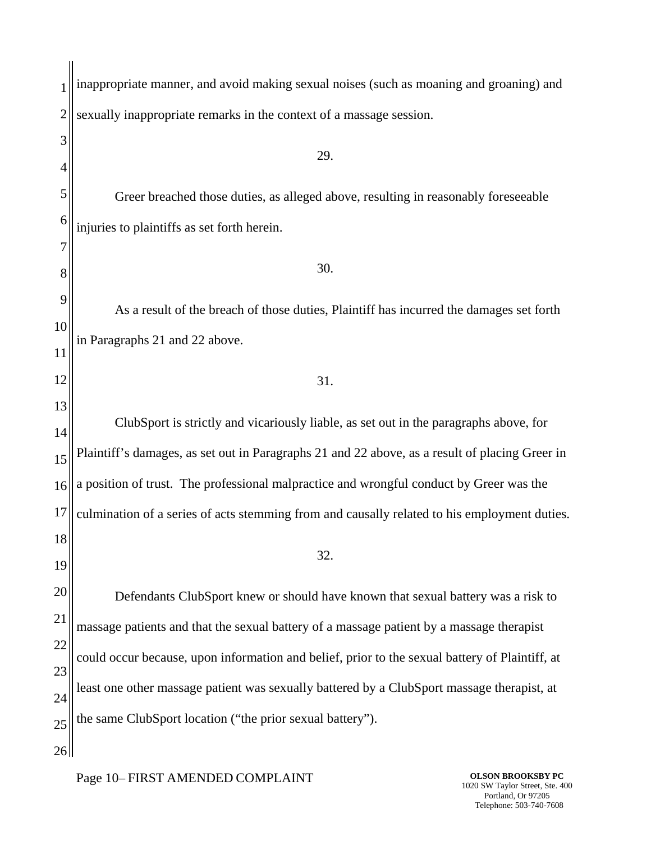1 2 3 4 5 6 7 8 9 10 11 12 13 14 15 16 17 18 19 20 21 22 23 24 25 26 inappropriate manner, and avoid making sexual noises (such as moaning and groaning) and sexually inappropriate remarks in the context of a massage session. 29. Greer breached those duties, as alleged above, resulting in reasonably foreseeable injuries to plaintiffs as set forth herein. 30. As a result of the breach of those duties, Plaintiff has incurred the damages set forth in Paragraphs 21 and 22 above. 31. ClubSport is strictly and vicariously liable, as set out in the paragraphs above, for Plaintiff's damages, as set out in Paragraphs 21 and 22 above, as a result of placing Greer in a position of trust. The professional malpractice and wrongful conduct by Greer was the culmination of a series of acts stemming from and causally related to his employment duties. 32. Defendants ClubSport knew or should have known that sexual battery was a risk to massage patients and that the sexual battery of a massage patient by a massage therapist could occur because, upon information and belief, prior to the sexual battery of Plaintiff, at least one other massage patient was sexually battered by a ClubSport massage therapist, at the same ClubSport location ("the prior sexual battery").

Page 10– FIRST AMENDED COMPLAINT

**OLSON BROOKSBY PC** 1020 SW Taylor Street, Ste. 400 Portland, Or 97205 Telephone: 503-740-7608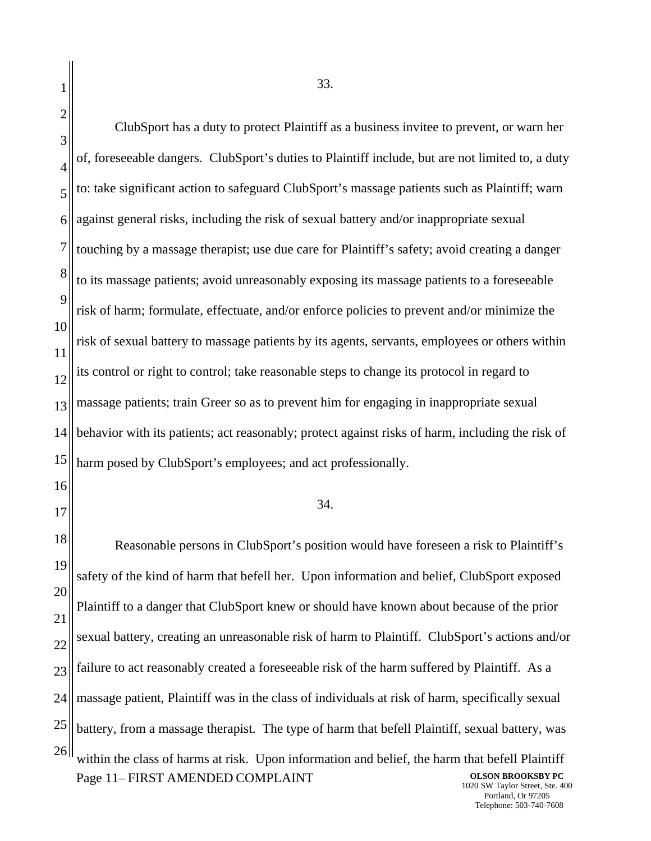2 3 4 5 6 7 8 9 10 12 13 14 15 16 17 18 19 20 21 22 23 24 25 26 Page 11– FIRST AMENDED COMPLAINT **OLSON BROOKSBY PC** 1020 SW Taylor Street, Ste. 400 Portland, Or 97205 ClubSport has a duty to protect Plaintiff as a business invitee to prevent, or warn her of, foreseeable dangers. ClubSport's duties to Plaintiff include, but are not limited to, a duty to: take significant action to safeguard ClubSport's massage patients such as Plaintiff; warn against general risks, including the risk of sexual battery and/or inappropriate sexual touching by a massage therapist; use due care for Plaintiff's safety; avoid creating a danger to its massage patients; avoid unreasonably exposing its massage patients to a foreseeable risk of harm; formulate, effectuate, and/or enforce policies to prevent and/or minimize the risk of sexual battery to massage patients by its agents, servants, employees or others within its control or right to control; take reasonable steps to change its protocol in regard to massage patients; train Greer so as to prevent him for engaging in inappropriate sexual behavior with its patients; act reasonably; protect against risks of harm, including the risk of harm posed by ClubSport's employees; and act professionally. 34. Reasonable persons in ClubSport's position would have foreseen a risk to Plaintiff's safety of the kind of harm that befell her. Upon information and belief, ClubSport exposed Plaintiff to a danger that ClubSport knew or should have known about because of the prior sexual battery, creating an unreasonable risk of harm to Plaintiff. ClubSport's actions and/or failure to act reasonably created a foreseeable risk of the harm suffered by Plaintiff. As a massage patient, Plaintiff was in the class of individuals at risk of harm, specifically sexual battery, from a massage therapist. The type of harm that befell Plaintiff, sexual battery, was within the class of harms at risk. Upon information and belief, the harm that befell Plaintiff

Telephone: 503-740-7608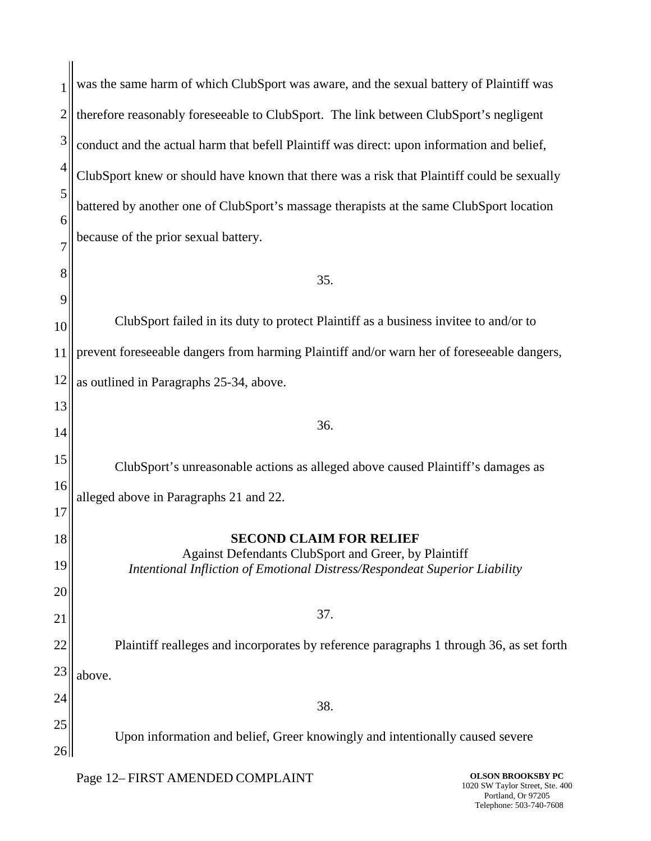|    | was the same harm of which ClubSport was aware, and the sexual battery of Plaintiff was                                            |  |
|----|------------------------------------------------------------------------------------------------------------------------------------|--|
| 2  | therefore reasonably foreseeable to ClubSport. The link between ClubSport's negligent                                              |  |
| 3  | conduct and the actual harm that befell Plaintiff was direct: upon information and belief,                                         |  |
| 4  | ClubSport knew or should have known that there was a risk that Plaintiff could be sexually                                         |  |
| 5  | battered by another one of ClubSport's massage therapists at the same ClubSport location                                           |  |
| 6  | because of the prior sexual battery.                                                                                               |  |
|    |                                                                                                                                    |  |
| 8  | 35.                                                                                                                                |  |
| 9  |                                                                                                                                    |  |
| 10 | ClubSport failed in its duty to protect Plaintiff as a business invitee to and/or to                                               |  |
| 11 | prevent foreseeable dangers from harming Plaintiff and/or warn her of foreseeable dangers,                                         |  |
| 12 | as outlined in Paragraphs 25-34, above.                                                                                            |  |
| 13 |                                                                                                                                    |  |
| 14 | 36.                                                                                                                                |  |
| 15 | ClubSport's unreasonable actions as alleged above caused Plaintiff's damages as                                                    |  |
| 16 | alleged above in Paragraphs 21 and 22.                                                                                             |  |
| 17 |                                                                                                                                    |  |
| 18 | <b>SECOND CLAIM FOR RELIEF</b>                                                                                                     |  |
| 19 | Against Defendants ClubSport and Greer, by Plaintiff<br>Intentional Infliction of Emotional Distress/Respondeat Superior Liability |  |
| 20 |                                                                                                                                    |  |
| 21 | 37.                                                                                                                                |  |
| 22 | Plaintiff realleges and incorporates by reference paragraphs 1 through 36, as set forth                                            |  |
|    |                                                                                                                                    |  |
| 23 | above.                                                                                                                             |  |
| 24 | 38.                                                                                                                                |  |
| 25 | Upon information and belief, Greer knowingly and intentionally caused severe                                                       |  |

Page 12– FIRST AMENDED COMPLAINT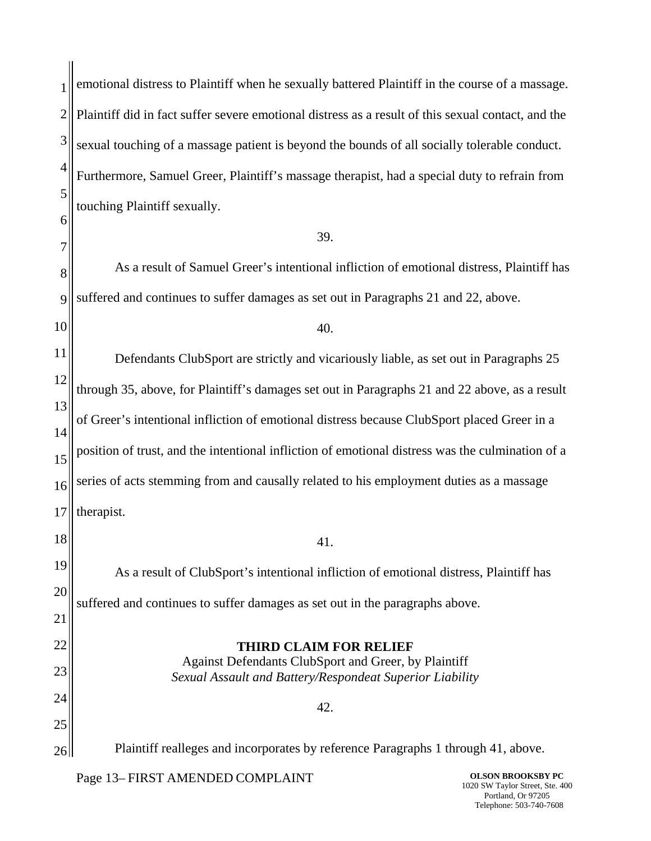| 1              | emotional distress to Plaintiff when he sexually battered Plaintiff in the course of a massage.    |
|----------------|----------------------------------------------------------------------------------------------------|
| $\overline{c}$ | Plaintiff did in fact suffer severe emotional distress as a result of this sexual contact, and the |
| 3              | sexual touching of a massage patient is beyond the bounds of all socially tolerable conduct.       |
| 4              | Furthermore, Samuel Greer, Plaintiff's massage therapist, had a special duty to refrain from       |
| 5              | touching Plaintiff sexually.                                                                       |
| 6              | 39.                                                                                                |
| 7<br>8         | As a result of Samuel Greer's intentional infliction of emotional distress, Plaintiff has          |
| 9              | suffered and continues to suffer damages as set out in Paragraphs 21 and 22, above.                |
| 10             | 40.                                                                                                |
| 11             | Defendants ClubSport are strictly and vicariously liable, as set out in Paragraphs 25              |
| 12             | through 35, above, for Plaintiff's damages set out in Paragraphs 21 and 22 above, as a result      |
| 13             | of Greer's intentional infliction of emotional distress because ClubSport placed Greer in a        |
| 14<br>15       | position of trust, and the intentional infliction of emotional distress was the culmination of a   |
| 16             | series of acts stemming from and causally related to his employment duties as a massage            |
| 17             | therapist.                                                                                         |
| 18             | 41.                                                                                                |
| 19             | As a result of ClubSport's intentional infliction of emotional distress, Plaintiff has             |
| 20             | suffered and continues to suffer damages as set out in the paragraphs above.                       |
| 21             |                                                                                                    |
| 22             | <b>THIRD CLAIM FOR RELIEF</b><br>Against Defendants ClubSport and Greer, by Plaintiff              |
| 23<br>24       | Sexual Assault and Battery/Respondeat Superior Liability                                           |
| 25             | 42.                                                                                                |
| 26             | Plaintiff realleges and incorporates by reference Paragraphs 1 through 41, above.                  |
|                |                                                                                                    |

Page 13– FIRST AMENDED COMPLAINT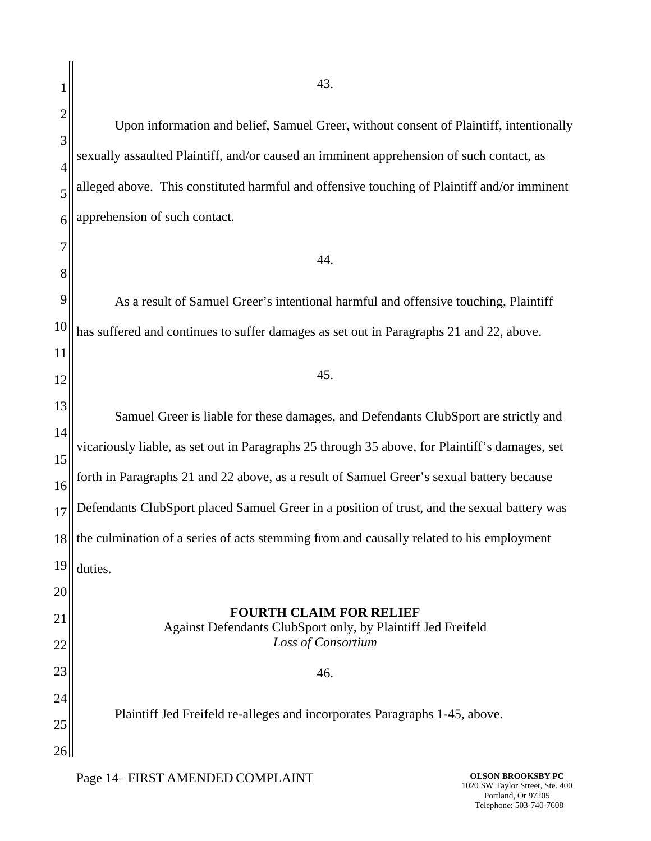Upon information and belief, Samuel Greer, without consent of Plaintiff, intentionally sexually assaulted Plaintiff, and/or caused an imminent apprehension of such contact, as alleged above. This constituted harmful and offensive touching of Plaintiff and/or imminent apprehension of such contact.

44.

As a result of Samuel Greer's intentional harmful and offensive touching, Plaintiff has suffered and continues to suffer damages as set out in Paragraphs 21 and 22, above.

45.

Samuel Greer is liable for these damages, and Defendants ClubSport are strictly and vicariously liable, as set out in Paragraphs 25 through 35 above, for Plaintiff's damages, set forth in Paragraphs 21 and 22 above, as a result of Samuel Greer's sexual battery because Defendants ClubSport placed Samuel Greer in a position of trust, and the sexual battery was the culmination of a series of acts stemming from and causally related to his employment duties. **FOURTH CLAIM FOR RELIEF**

Against Defendants ClubSport only, by Plaintiff Jed Freifeld *Loss of Consortium*

46.

Plaintiff Jed Freifeld re-alleges and incorporates Paragraphs 1-45, above.

Page 14– FIRST AMENDED COMPLAINT

**OLSON BROOKSBY PC** 1020 SW Taylor Street, Ste. 400 Portland, Or 97205 Telephone: 503-740-7608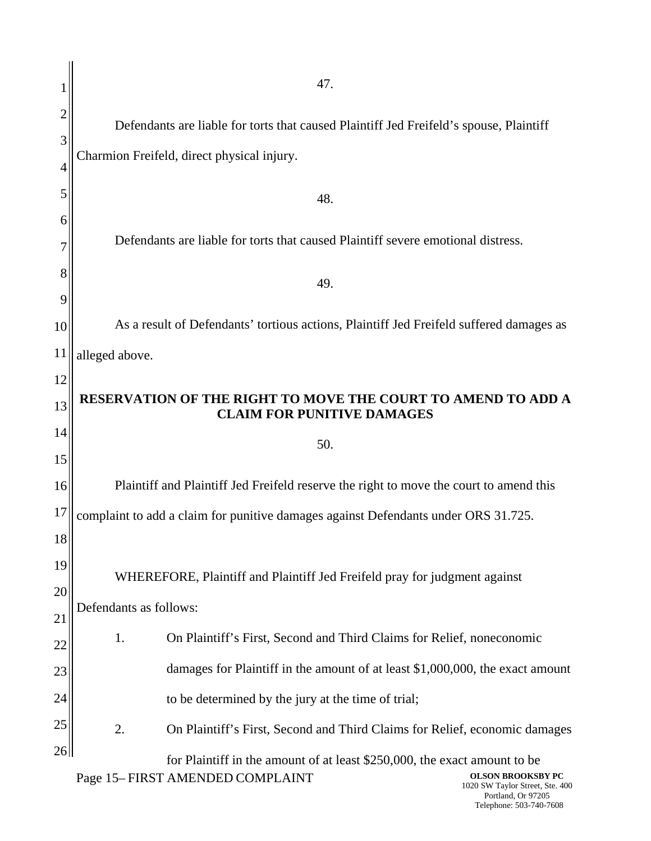|                | 47.                                                                                               |  |  |
|----------------|---------------------------------------------------------------------------------------------------|--|--|
|                | Defendants are liable for torts that caused Plaintiff Jed Freifeld's spouse, Plaintiff            |  |  |
| 3              | Charmion Freifeld, direct physical injury.                                                        |  |  |
| $\overline{4}$ |                                                                                                   |  |  |
| 5              | 48.                                                                                               |  |  |
| h              | Defendants are liable for torts that caused Plaintiff severe emotional distress.                  |  |  |
| 8              |                                                                                                   |  |  |
| 9              | 49.                                                                                               |  |  |
| 10             | As a result of Defendants' tortious actions, Plaintiff Jed Freifeld suffered damages as           |  |  |
| <sup>11</sup>  | alleged above.                                                                                    |  |  |
| 12             |                                                                                                   |  |  |
| 13             | RESERVATION OF THE RIGHT TO MOVE THE COURT TO AMEND TO ADD A<br><b>CLAIM FOR PUNITIVE DAMAGES</b> |  |  |
| 14             | 50.                                                                                               |  |  |
|                |                                                                                                   |  |  |
| 15             |                                                                                                   |  |  |
| 16             | Plaintiff and Plaintiff Jed Freifeld reserve the right to move the court to amend this            |  |  |
| 17             | complaint to add a claim for punitive damages against Defendants under ORS 31.725.                |  |  |
| 18             |                                                                                                   |  |  |
| 19             |                                                                                                   |  |  |
| 20             | WHEREFORE, Plaintiff and Plaintiff Jed Freifeld pray for judgment against                         |  |  |
| 21             | Defendants as follows:                                                                            |  |  |
| 22             | 1.<br>On Plaintiff's First, Second and Third Claims for Relief, noneconomic                       |  |  |
| 23             | damages for Plaintiff in the amount of at least \$1,000,000, the exact amount                     |  |  |
| 24             | to be determined by the jury at the time of trial;                                                |  |  |
| 25             | 2.<br>On Plaintiff's First, Second and Third Claims for Relief, economic damages                  |  |  |
| 26             | for Plaintiff in the amount of at least \$250,000, the exact amount to be                         |  |  |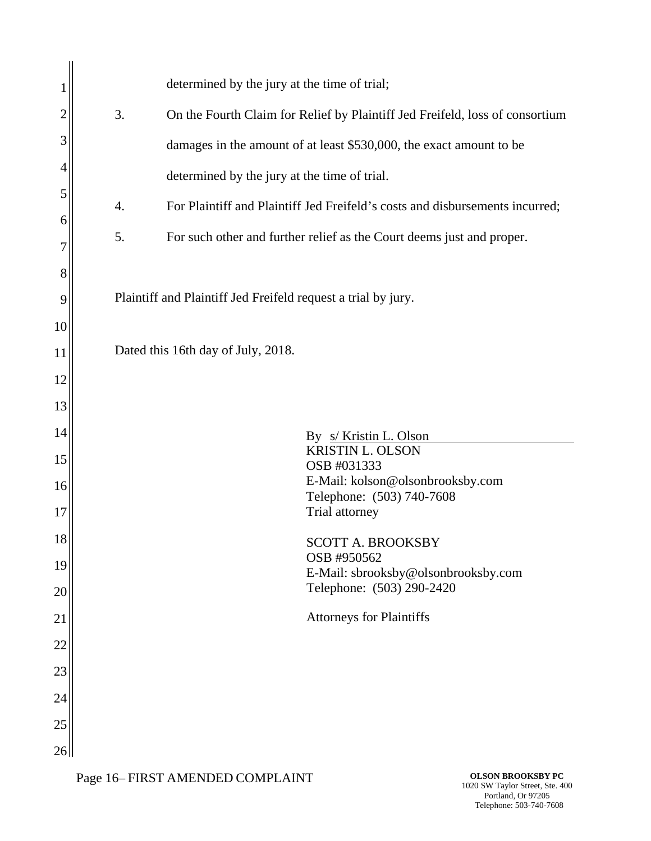|    | determined by the jury at the time of trial;                                       |  |
|----|------------------------------------------------------------------------------------|--|
| 2  | 3.<br>On the Fourth Claim for Relief by Plaintiff Jed Freifeld, loss of consortium |  |
| 3  | damages in the amount of at least \$530,000, the exact amount to be                |  |
| 4  | determined by the jury at the time of trial.                                       |  |
| 5  | For Plaintiff and Plaintiff Jed Freifeld's costs and disbursements incurred;<br>4. |  |
| 6  |                                                                                    |  |
|    | 5.<br>For such other and further relief as the Court deems just and proper.        |  |
| 8  |                                                                                    |  |
| 9  | Plaintiff and Plaintiff Jed Freifeld request a trial by jury.                      |  |
| 10 |                                                                                    |  |
| 11 | Dated this 16th day of July, 2018.                                                 |  |
| 12 |                                                                                    |  |
| 13 |                                                                                    |  |
| 14 | By <u>s/ Kristin L. Olson</u>                                                      |  |
| 15 | <b>KRISTIN L. OLSON</b><br>OSB #031333                                             |  |
| 16 | E-Mail: kolson@olsonbrooksby.com<br>Telephone: (503) 740-7608                      |  |
| 17 | Trial attorney                                                                     |  |
| 18 | SCOTT A. BROOKSBY                                                                  |  |
| 19 | OSB #950562<br>E-Mail: sbrooksby@olsonbrooksby.com                                 |  |
| 20 | Telephone: (503) 290-2420                                                          |  |
| 21 | <b>Attorneys for Plaintiffs</b>                                                    |  |
| 22 |                                                                                    |  |
| 23 |                                                                                    |  |
| 24 |                                                                                    |  |
| 25 |                                                                                    |  |
| 26 |                                                                                    |  |

Page 16– FIRST AMENDED COMPLAINT